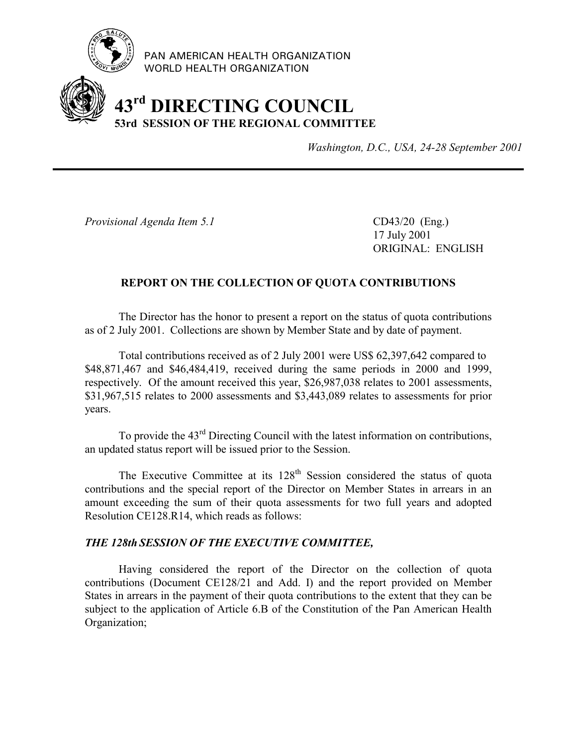

PAN AMERICAN HEALTH ORGANIZATION WORLD HEALTH ORGANIZATION

## **43rd DIRECTING COUNCIL 53rd SESSION OF THE REGIONAL COMMITTEE**

*Washington, D.C., USA, 24-28 September 2001*

*Provisional Agenda Item 5.1* CD43/20 (Eng.)

17 July 2001 ORIGINAL: ENGLISH

## **REPORT ON THE COLLECTION OF QUOTA CONTRIBUTIONS**

The Director has the honor to present a report on the status of quota contributions as of 2 July 2001. Collections are shown by Member State and by date of payment.

Total contributions received as of 2 July 2001 were US\$ 62,397,642 compared to \$48,871,467 and \$46,484,419, received during the same periods in 2000 and 1999, respectively. Of the amount received this year, \$26,987,038 relates to 2001 assessments, \$31,967,515 relates to 2000 assessments and \$3,443,089 relates to assessments for prior years.

To provide the 43rd Directing Council with the latest information on contributions, an updated status report will be issued prior to the Session.

The Executive Committee at its 128<sup>th</sup> Session considered the status of quota contributions and the special report of the Director on Member States in arrears in an amount exceeding the sum of their quota assessments for two full years and adopted Resolution CE128.R14, which reads as follows:

## *THE 128th SESSION OF THE EXECUTIVE COMMITTEE,*

Having considered the report of the Director on the collection of quota contributions (Document CE128/21 and Add. I) and the report provided on Member States in arrears in the payment of their quota contributions to the extent that they can be subject to the application of Article 6.B of the Constitution of the Pan American Health Organization;